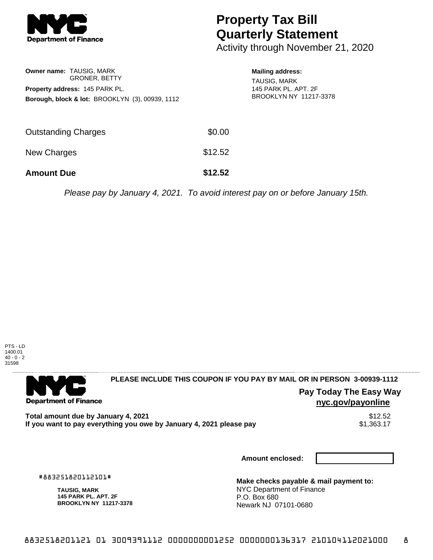

## **Property Tax Bill Quarterly Statement**

Activity through November 21, 2020

|                   | Owner name: TAUSIG, MARK<br><b>GRONER, BETTY</b><br><b>Property address: 145 PARK PL.</b><br>Borough, block & lot: BROOKLYN (3), 00939, 1112 |         | <b>Mailing address:</b><br><b>TAUSIG, MARK</b><br>145 PARK PL. APT. 2F<br>BROOKLYN NY 11217-3378 |
|-------------------|----------------------------------------------------------------------------------------------------------------------------------------------|---------|--------------------------------------------------------------------------------------------------|
|                   | <b>Outstanding Charges</b>                                                                                                                   | \$0.00  |                                                                                                  |
| New Charges       |                                                                                                                                              | \$12.52 |                                                                                                  |
| <b>Amount Due</b> |                                                                                                                                              | \$12.52 |                                                                                                  |
|                   |                                                                                                                                              |         | Please pay by January 4, 2021. To avoid interest pay on or before January 15th.                  |



. . . . . . . . . . . . . . . . . .

## **PLEASE INCLUDE THIS COUPON IF YOU PAY BY MAIL OR IN PERSON 3-00939-1112**

**Pay Today The Easy Way nyc.gov/payonline**

**Total amount due by January 4, 2021** \$12.52 If you want to pay everything you owe by January 4, 2021 please pay

**Amount enclosed:**

#883251820112101#

**Department of Finance** 

**TAUSIG, MARK 145 PARK PL. APT. 2F BROOKLYN NY 11217-3378** **Make checks payable & mail payment to:** NYC Department of Finance P.O. Box 680 Newark NJ 07101-0680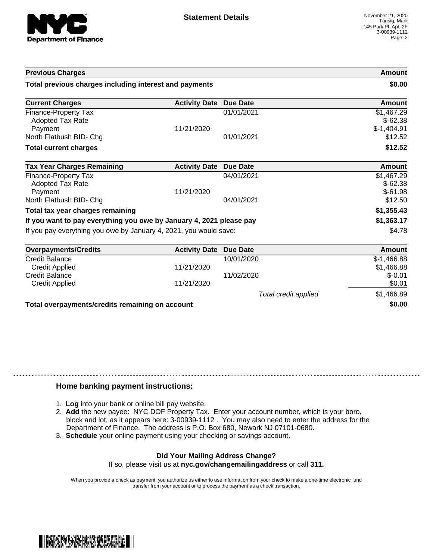

| <b>Previous Charges</b>                                             |                      |                 | <b>Amount</b><br>\$0.00                 |
|---------------------------------------------------------------------|----------------------|-----------------|-----------------------------------------|
| Total previous charges including interest and payments              |                      |                 |                                         |
| <b>Current Charges</b>                                              | <b>Activity Date</b> | Due Date        | Amount                                  |
| <b>Finance-Property Tax</b><br><b>Adopted Tax Rate</b><br>Payment   | 11/21/2020           | 01/01/2021      | \$1,467.29<br>$$-62.38$<br>$$-1,404.91$ |
| North Flatbush BID- Chg                                             |                      | 01/01/2021      | \$12.52                                 |
| <b>Total current charges</b>                                        |                      |                 | \$12.52                                 |
| <b>Tax Year Charges Remaining</b>                                   | <b>Activity Date</b> | <b>Due Date</b> | <b>Amount</b>                           |
| Finance-Property Tax<br><b>Adopted Tax Rate</b>                     |                      | 04/01/2021      | \$1,467.29<br>$$-62.38$                 |
| Payment<br>North Flatbush BID- Chg                                  | 11/21/2020           | 04/01/2021      | $$-61.98$<br>\$12.50                    |
| Total tax year charges remaining                                    |                      |                 | \$1,355.43                              |
| If you want to pay everything you owe by January 4, 2021 please pay | \$1,363.17           |                 |                                         |
| If you pay everything you owe by January 4, 2021, you would save:   | \$4.78               |                 |                                         |
| <b>Overpayments/Credits</b>                                         | <b>Activity Date</b> | <b>Due Date</b> | Amount                                  |
| <b>Credit Balance</b>                                               |                      | 10/01/2020      | $$-1,466.88$                            |

| 5.50                                            |                      |            | , ,,,,,,,,,, |
|-------------------------------------------------|----------------------|------------|--------------|
| <b>Credit Balance</b>                           |                      | 10/01/2020 | $$-1,466.88$ |
| <b>Credit Applied</b>                           | 11/21/2020           |            | \$1,466.88   |
| <b>Credit Balance</b>                           |                      | 11/02/2020 | $$-0.01$     |
| Credit Applied                                  | 11/21/2020           |            | \$0.01       |
|                                                 | Total credit applied |            | \$1,466.89   |
| Total overpayments/credits remaining on account |                      |            | \$0.00       |

## **Home banking payment instructions:**

- 1. **Log** into your bank or online bill pay website.
- 2. **Add** the new payee: NYC DOF Property Tax. Enter your account number, which is your boro, block and lot, as it appears here: 3-00939-1112 . You may also need to enter the address for the Department of Finance. The address is P.O. Box 680, Newark NJ 07101-0680.
- 3. **Schedule** your online payment using your checking or savings account.

## **Did Your Mailing Address Change?**

If so, please visit us at **nyc.gov/changemailingaddress** or call **311.**

When you provide a check as payment, you authorize us either to use information from your check to make a one-time electronic fund transfer from your account or to process the payment as a check transaction.